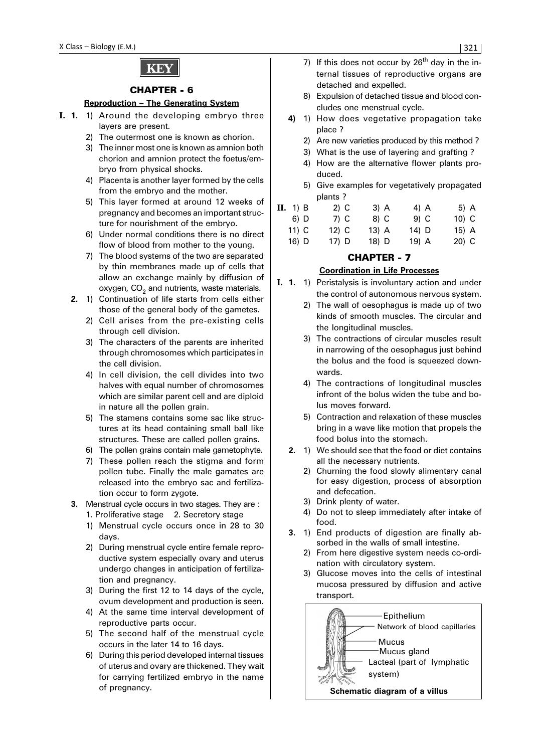

### CHAPTER - 6

### **Reproduction – The Generating System**

- **I. 1.** 1) Around the developing embryo three layers are present.
	- 2) The outermost one is known as chorion.
	- 3) The inner most one is known as amnion both chorion and amnion protect the foetus/embryo from physical shocks.
	- 4) Placenta is another layer formed by the cells from the embryo and the mother.
	- 5) This layer formed at around 12 weeks of pregnancy and becomes an important structure for nourishment of the embryo.
	- 6) Under normal conditions there is no direct flow of blood from mother to the young.
	- 7) The blood systems of the two are separated by thin membranes made up of cells that allow an exchange mainly by diffusion of oxygen,  $CO<sub>2</sub>$  and nutrients, waste materials.
	- **2.** 1) Continuation of life starts from cells either those of the general body of the gametes.
		- 2) Cell arises from the pre-existing cells through cell division.
		- 3) The characters of the parents are inherited through chromosomes which participates in the cell division.
		- 4) In cell division, the cell divides into two halves with equal number of chromosomes which are similar parent cell and are diploid in nature all the pollen grain.
		- 5) The stamens contains some sac like structures at its head containing small ball like structures. These are called pollen grains.
		- 6) The pollen grains contain male gametophyte.
		- 7) These pollen reach the stigma and form pollen tube. Finally the male gamates are released into the embryo sac and fertilization occur to form zygote.
	- **3.** Menstrual cycle occurs in two stages. They are : 1. Proliferative stage 2. Secretory stage
		- 1) Menstrual cycle occurs once in 28 to 30 days.
		- 2) During menstrual cycle entire female reproductive system especially ovary and uterus undergo changes in anticipation of fertilization and pregnancy.
		- 3) During the first 12 to 14 days of the cycle, ovum development and production is seen.
		- 4) At the same time interval development of reproductive parts occur.
		- 5) The second half of the menstrual cycle occurs in the later 14 to 16 days.
		- 6) During this period developed internal tissues of uterus and ovary are thickened. They wait for carrying fertilized embryo in the name of pregnancy.
- 7) If this does not occur by  $26<sup>th</sup>$  day in the internal tissues of reproductive organs are detached and expelled.
- 8) Expulsion of detached tissue and blood concludes one menstrual cycle.
- **4)** 1) How does vegetative propagation take place ?
	- 2) Are new varieties produced by this method ?
	- 3) What is the use of layering and grafting ?
	- 4) How are the alternative flower plants produced.
	- 5) Give examples for vegetatively propagated plants ?

| II. 1) B | $2)$ C | 3) A    | 4) A  | 5) A    |
|----------|--------|---------|-------|---------|
| 6) D     | 7) C   | 8) C    | 9) C  | $10)$ C |
| 11) C    | 12) C  | $13)$ A | 14) D | 15) A   |
| $16)$ D  | 17) D  | 18) D   | 19) A | $20)$ C |

# CHAPTER - 7

## **Coordination in Life Processes**

- **I. 1.** 1) Peristalysis is involuntary action and under the control of autonomous nervous system.
	- 2) The wall of oesophagus is made up of two kinds of smooth muscles. The circular and the longitudinal muscles.
	- 3) The contractions of circular muscles result in narrowing of the oesophagus just behind the bolus and the food is squeezed downwards.
	- 4) The contractions of longitudinal muscles infront of the bolus widen the tube and bolus moves forward.
	- 5) Contraction and relaxation of these muscles bring in a wave like motion that propels the food bolus into the stomach.
	- **2.** 1) We should see that the food or diet contains all the necessary nutrients.
		- 2) Churning the food slowly alimentary canal for easy digestion, process of absorption and defecation.
		- 3) Drink plenty of water.
		- 4) Do not to sleep immediately after intake of food.
	- **3.** 1) End products of digestion are finally absorbed in the walls of small intestine.
		- 2) From here digestive system needs co-ordination with circulatory system.
		- 3) Glucose moves into the cells of intestinal mucosa pressured by diffusion and active transport.

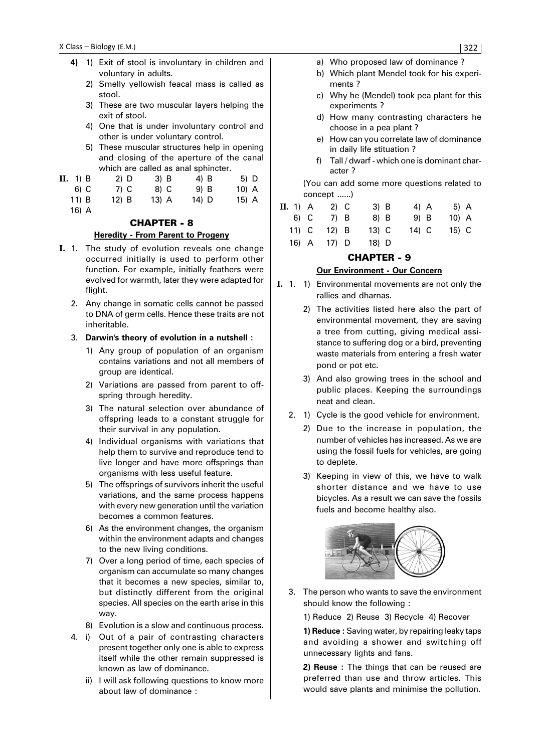- **4)** 1) Exit of stool is involuntary in children and voluntary in adults.
	- 2) Smelly yellowish feacal mass is called as stool.
	- 3) These are two muscular layers helping the exit of stool.
	- 4) One that is under involuntary control and other is under voluntary control.
	- 5) These muscular structures help in opening and closing of the aperture of the canal which are called as anal sphincter.
- **II.** 1) B 2) D 3) B 4) B 5) D
	- 6) C 7) C 8) C 9) B 10) A 11) B 12) B 13) A 14) D 15) A
	- 16) A

# CHAPTER - 8

### **Heredity - From Parent to Progeny**

- **I.** 1. The study of evolution reveals one change occurred initially is used to perform other function. For example, initially feathers were evolved for warmth, later they were adapted for flight.
	- 2. Any change in somatic cells cannot be passed to DNA of germ cells. Hence these traits are not inheritable.
	- 3. **Darwin's theory of evolution in a nutshell :**
		- 1) Any group of population of an organism contains variations and not all members of group are identical.
		- 2) Variations are passed from parent to offspring through heredity.
		- 3) The natural selection over abundance of offspring leads to a constant struggle for their survival in any population.
		- 4) Individual organisms with variations that help them to survive and reproduce tend to live longer and have more offsprings than organisms with less useful feature.
		- 5) The offsprings of survivors inherit the useful variations, and the same process happens with every new generation until the variation becomes a common features.
		- 6) As the environment changes, the organism within the environment adapts and changes to the new living conditions.
		- 7) Over a long period of time, each species of organism can accumulate so many changes that it becomes a new species, similar to, but distinctly different from the original species. All species on the earth arise in this way.
		- 8) Evolution is a slow and continuous process.
	- 4. i) Out of a pair of contrasting characters present together only one is able to express itself while the other remain suppressed is known as law of dominance.
		- ii) I will ask following questions to know more about law of dominance :
- a) Who proposed law of dominance ?
- b) Which plant Mendel took for his experiments ?
- c) Why he (Mendel) took pea plant for this experiments ?
- d) How many contrasting characters he choose in a pea plant ?
- e) How can you correlate law of dominance in daily life stituation ?
- f) Tall / dwarf which one is dominant character ?

(You can add some more questions related to concept ......)

| <b>II.</b> 1) A | 2) C    | $3)$ B | 4) A  | 5) A    |  |
|-----------------|---------|--------|-------|---------|--|
| 6) C            | 7) B    | 8) B   | 9) B  | $10)$ A |  |
| 11) C           | $12)$ B | 13) C  | 14) C | 15) C   |  |
| 16) A           | 17) D   | 18) D  |       |         |  |

## CHAPTER - 9

## **Our Environment - Our Concern**

- **I.** 1. 1) Environmental movements are not only the rallies and dharnas.
	- 2) The activities listed here also the part of environmental movement, they are saving a tree from cutting, giving medical assistance to suffering dog or a bird, preventing waste materials from entering a fresh water pond or pot etc.
	- 3) And also growing trees in the school and public places. Keeping the surroundings neat and clean.
	- 2. 1) Cycle is the good vehicle for environment.
		- 2) Due to the increase in population, the number of vehicles has increased. As we are using the fossil fuels for vehicles, are going to deplete.
		- 3) Keeping in view of this, we have to walk shorter distance and we have to use bicycles. As a result we can save the fossils fuels and become healthy also.



3. The person who wants to save the environment should know the following :

1) Reduce 2) Reuse 3) Recycle 4) Recover

**1) Reduce :** Saving water, by repairing leaky taps and avoiding a shower and switching off unnecessary lights and fans.

**2) Reuse :** The things that can be reused are preferred than use and throw articles. This would save plants and minimise the pollution.